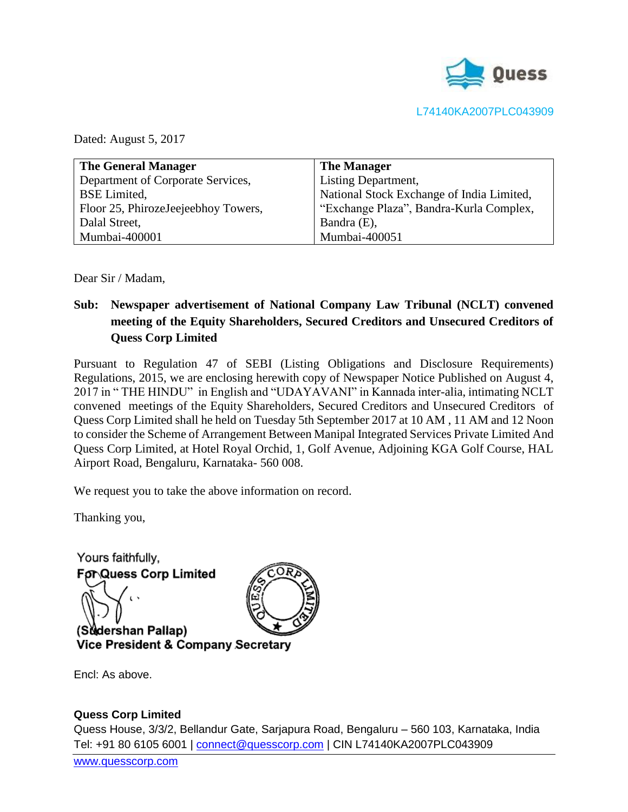

Dated: August 5, 2017

| <b>The General Manager</b>          | <b>The Manager</b>                        |
|-------------------------------------|-------------------------------------------|
| Department of Corporate Services,   | <b>Listing Department,</b>                |
| <b>BSE</b> Limited,                 | National Stock Exchange of India Limited, |
| Floor 25, PhirozeJeejeebhoy Towers, | "Exchange Plaza", Bandra-Kurla Complex,   |
| Dalal Street,                       | Bandra (E),                               |
| Mumbai-400001                       | Mumbai-400051                             |

Dear Sir / Madam,

## **Sub: Newspaper advertisement of National Company Law Tribunal (NCLT) convened meeting of the Equity Shareholders, Secured Creditors and Unsecured Creditors of Quess Corp Limited**

Pursuant to Regulation 47 of SEBI (Listing Obligations and Disclosure Requirements) Regulations, 2015, we are enclosing herewith copy of Newspaper Notice Published on August 4, 2017 in " THE HINDU" in English and "UDAYAVANI" in Kannada inter-alia, intimating NCLT convened meetings of the Equity Shareholders, Secured Creditors and Unsecured Creditors of Quess Corp Limited shall he held on Tuesday 5th September 2017 at 10 AM , 11 AM and 12 Noon to consider the Scheme of Arrangement Between Manipal Integrated Services Private Limited And Quess Corp Limited, at Hotel Royal Orchid, 1, Golf Avenue, Adjoining KGA Golf Course, HAL Airport Road, Bengaluru, Karnataka- 560 008.

We request you to take the above information on record.

Thanking you,

Yours faithfully, **For Quess Corp Limited** 



(Sudershan Pallap)

Encl: As above.

## **Quess Corp Limited**

Quess House, 3/3/2, Bellandur Gate, Sarjapura Road, Bengaluru – 560 103, Karnataka, India Tel: +91 80 6105 6001 | [connect@quesscorp.com](mailto:connect@quesscorp.com) | CIN L74140KA2007PLC043909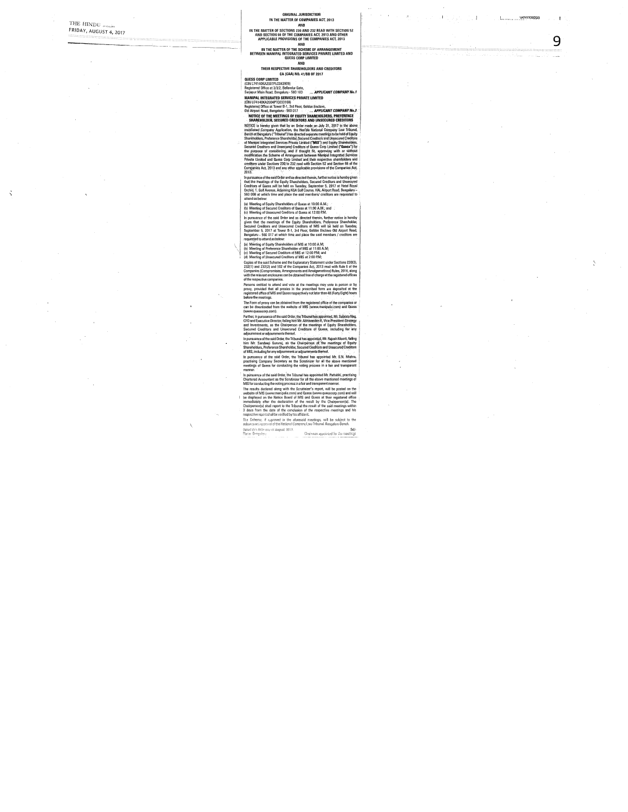$\mathcal{L}_{\mathcal{A}}$ 

 $\bar{\psi}$ 

 $\epsilon$  ,  $\epsilon$  ,  $\epsilon$  ,  $\mu_{\rm{F}}$ 

木本の人 高田

**ORIGINAL JURISDICTION**<br>
IN THE MATTER OF COMPANIES ACT, 2013<br>
IN THE MATTER OF SECTIONS 220 AND 222 READ WITH SECTION 52<br>
AND SECTION 63 OF THE COMPANIES ACT, 2013<br>
APPLICABLE PROVISIONS OF THE COMPANIES ACT, 2013<br>
IN TH

Reprisered Office as Towar B-1, 3rd Feno; 60461 finalism, and Marine Contents and Marine Contents and Marine Contents and Marine Contents and Marine Contents and Marine Contents are also the contents and the matternation o

metrings of Quess for conducting the voltage process in a fair and transporer.<br>
In parameters of this aid Order, the This unit also appoints Mix-framethials, proposition<br>
In parameters of the Scrutting for the Scrutter of

Dated this Odan dey of August 2017. Sd/-<br>Clearman appointed for the meetings

 $\overline{\phantom{a}}$ 

Service Communication